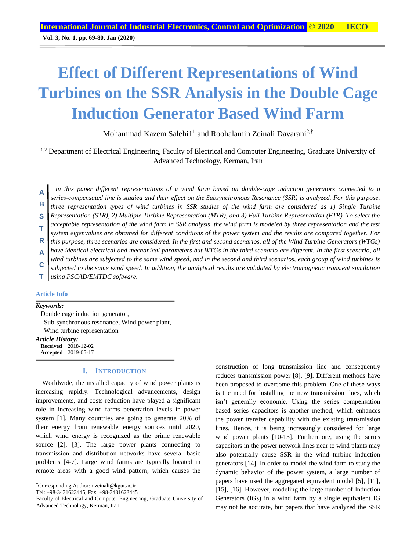**Vol. 3, No. 1, pp. 69-80, Jan (2020)**

# **Effect of Different Representations of Wind Turbines on the SSR Analysis in the Double Cage Induction Generator Based Wind Farm**

Mohammad Kazem Salehi1<sup>1</sup> and Roohalamin Zeinali Davarani<sup>2,†</sup>

<sup>1,2</sup> Department of Electrical Engineering, Faculty of Electrical and Computer Engineering, Graduate University of Advanced Technology, Kerman, Iran

*In this paper different representations of a wind farm based on double-cage induction generators connected to a series-compensated line is studied and their effect on the Subsynchronous Resonance (SSR) is analyzed. For this purpose, three representation types of wind turbines in SSR studies of the wind farm are considered as 1) Single Turbine Representation (STR), 2) Multiple Turbine Representation (MTR), and 3) Full Turbine Representation (FTR). To select the acceptable representation of the wind farm in SSR analysis, the wind farm is modeled by three representation and the test system eigenvalues are obtained for different conditions of the power system and the results are compared together. For this purpose, three scenarios are considered. In the first and second scenarios, all of the Wind Turbine Generators (WTGs) have identical electrical and mechanical parameters but WTGs in the third scenario are different. In the first scenario, all wind turbines are subjected to the same wind speed, and in the second and third scenarios, each group of wind turbines is subjected to the same wind speed. In addition, the analytical results are validated by electromagnetic transient simulation using PSCAD/EMTDC software.* **A B S T R A C T**

## **Article Info**

*Keywords:*

Double cage induction generator, Sub-synchronous resonance, Wind power plant, Wind turbine representation

*Article History:* **Received** 2018-12-02 **Accepted** 2019-05-17

### **I. INTRODUCTION**

Worldwide, the installed capacity of wind power plants is increasing rapidly. Technological advancements, design improvements, and costs reduction have played a significant role in increasing wind farms penetration levels in power system [1]. Many countries are going to generate 20% of their energy from renewable energy sources until 2020, which wind energy is recognized as the prime renewable source [2], [3]. The large power plants connecting to transmission and distribution networks have several basic problems [4-7]. Large wind farms are typically located in remote areas with a good wind pattern, which causes the

Faculty of Electrical and Computer Engineering, Graduate University of Advanced Technology, Kerman, Iran

construction of long transmission line and consequently reduces transmission power [8], [9]. Different methods have been proposed to overcome this problem. One of these ways is the need for installing the new transmission lines, which isn't generally economic. Using the series compensation based series capacitors is another method, which enhances the power transfer capability with the existing transmission lines. Hence, it is being increasingly considered for large wind power plants [10-13]. Furthermore, using the series capacitors in the power network lines near to wind plants may also potentially cause SSR in the wind turbine induction generators [14]. In order to model the wind farm to study the dynamic behavior of the power system, a large number of papers have used the aggregated equivalent model [5], [11], [15], [16]. However, modeling the large number of Induction Generators (IGs) in a wind farm by a single equivalent IG may not be accurate, but papers that have analyzed the SSR

<sup>†</sup>Corresponding Author: r.zeinali@kgut.ac.ir

Tel: +98-3431623445, Fax: +98-3431623445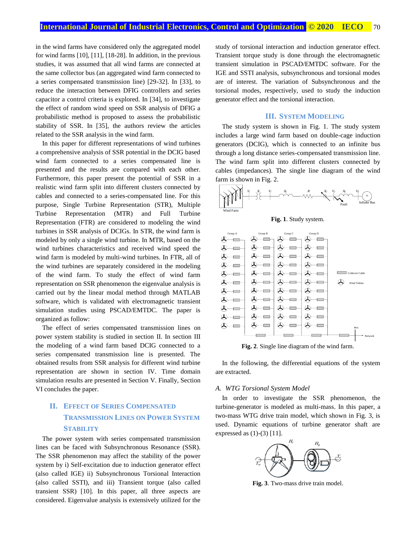in the wind farms have considered only the aggregated model for wind farms [10], [11], [18-28]. In addition, in the previous studies, it was assumed that all wind farms are connected at the same collector bus (an aggregated wind farm connected to a series compensated transmission line) [29-32]. In [33], to reduce the interaction between DFIG controllers and series capacitor a control criteria is explored. In [34], to investigate the effect of random wind speed on SSR analysis of DFIG a probabilistic method is proposed to assess the probabilistic stability of SSR. In [35], the authors review the articles related to the SSR analysis in the wind farm.

In this paper for different representations of wind turbines a comprehensive analysis of SSR potential in the DCIG based wind farm connected to a series compensated line is presented and the results are compared with each other. Furthermore, this paper present the potential of SSR in a realistic wind farm split into different clusters connected by cables and connected to a series-compensated line. For this purpose, Single Turbine Representation (STR), Multiple Turbine Representation (MTR) and Full Turbine Representation (FTR) are considered to modeling the wind turbines in SSR analysis of DCIGs. In STR, the wind farm is modeled by only a single wind turbine. In MTR, based on the wind turbines characteristics and received wind speed the wind farm is modeled by multi-wind turbines. In FTR, all of the wind turbines are separately considered in the modeling of the wind farm. To study the effect of wind farm representation on SSR phenomenon the eigenvalue analysis is carried out by the linear modal method through MATLAB software, which is validated with electromagnetic transient simulation studies using PSCAD/EMTDC. The paper is organized as follow:

The effect of series compensated transmission lines on power system stability is studied in section II. In section III the modeling of a wind farm based DCIG connected to a series compensated transmission line is presented. The obtained results from SSR analysis for different wind turbine representation are shown in section IV. Time domain simulation results are presented in Section V. Finally, Section VI concludes the paper.

# **II. EFFECT OF SERIES COMPENSATED TRANSMISSION LINES ON POWER SYSTEM STABILITY**

The power system with series compensated transmission lines can be faced with Subsynchronous Resonance (SSR). The SSR phenomenon may affect the stability of the power system by i) Self-excitation due to induction generator effect (also called IGE) ii) Subsynchronous Torsional Interaction (also called SSTI), and iii) Transient torque (also called transient SSR) [10]. In this paper, all three aspects are considered. Eigenvalue analysis is extensively utilized for the study of torsional interaction and induction generator effect. Transient torque study is done through the electromagnetic transient simulation in PSCAD/EMTDC software. For the IGE and SSTI analysis, subsynchronous and torsional modes are of interest. The variation of Subsynchronous and the torsional modes, respectively, used to study the induction generator effect and the torsional interaction.

# **III. SYSTEM MODELING**

The study system is shown in Fig. 1. The study system includes a large wind farm based on double-cage induction generators (DCIG), which is connected to an infinite bus through a long distance series-compensated transmission line. The wind farm split into different clusters connected by cables (impedances). The single line diagram of the wind farm is shown in Fig. 2.



**Fig. 1**. Study system.



**Fig. 2**. Single line diagram of the wind farm.

In the following, the differential equations of the system are extracted.

#### *A. WTG Torsional System Model*

In order to investigate the SSR phenomenon, the turbine-generator is modeled as multi-mass. In this paper, a two-mass WTG drive train model, which shown in Fig. 3, is used. Dynamic equations of turbine generator shaft are expressed as (1)-(3) [11].



**Fig. 3**. Two-mass drive train model.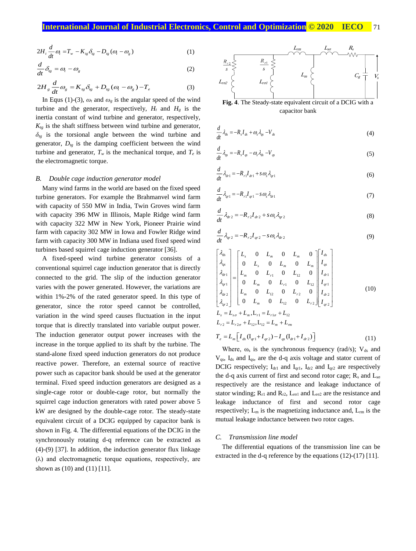$$
2H_t \frac{d}{dt} \omega_t = T_w - K_{tg} \delta_{tg} - D_{tg} (\omega_t - \omega_g)
$$
 (1)

$$
\frac{d}{dt}\delta_{\rm sg} = \omega_{\rm t} - \omega_{\rm g} \tag{2}
$$

$$
2H_g \frac{d}{dt} \omega_g = K_{tg} \delta_{tg} + D_{tg} (\omega_t - \omega_g) - T_e \tag{3}
$$

In Equs (1)-(3),  $\omega_t$  and  $\omega_g$  is the angular speed of the wind turbine and the generator, respectively,  $H_t$  and  $H_g$  is the inertia constant of wind turbine and generator, respectively,  $K_{tg}$  is the shaft stiffness between wind turbine and generator, *δtg* is the torsional angle between the wind turbine and generator,  $D_{tg}$  is the damping coefficient between the wind turbine and generator,  $T_w$  is the mechanical torque, and  $T_e$  is the electromagnetic torque.

#### *B. Double cage induction generator model*

Many wind farms in the world are based on the fixed speed turbine generators. For example the Brahmanvel wind farm with capacity of 550 MW in India, Twin Groves wind farm with capacity 396 MW in Illinois, Maple Ridge wind farm with capacity 322 MW in New York, Pioneer Prairie wind farm with capacity 302 MW in Iowa and Fowler Ridge wind farm with capacity 300 MW in Indiana used fixed speed wind turbines based squirrel cage induction generator [36].

A fixed-speed wind turbine generator consists of a conventional squirrel cage induction generator that is directly connected to the grid. The slip of the induction generator varies with the power generated. However, the variations are within 1%-2% of the rated generator speed. In this type of generator, since the rotor speed cannot be controlled, variation in the wind speed causes fluctuation in the input torque that is directly translated into variable output power. The induction generator output power increases with the increase in the torque applied to its shaft by the turbine. The stand-alone fixed speed induction generators do not produce reactive power. Therefore, an external source of reactive power such as capacitor bank should be used at the generator terminal. Fixed speed induction generators are designed as a single-cage rotor or double-cage rotor, but normally the squirrel cage induction generators with rated power above 5 kW are designed by the double-cage rotor. The steady-state equivalent circuit of a DCIG equipped by capacitor bank is shown in Fig. 4. The differential equations of the DCIG in the synchronously rotating d-q reference can be extracted as (4)-(9) [37]. In addition, the induction generator flux linkage (λ) and electromagnetic torque equations, respectively, are shown as (10) and (11) [11].



capacitor bank

$$
\frac{d}{dt}\lambda_{ds} = -R_s I_{ds} + \omega_s \lambda_{qs} - V_{ds}
$$
\n(4)

$$
\frac{d}{dt}\lambda_{qs} = -R_s I_{qs} - \omega_s \lambda_{ds} - V_{qs} \tag{5}
$$

$$
\frac{d}{dt}\lambda_{dr1} = -R_{r1}I_{dr1} + s\omega_s\lambda_{qr1} \tag{6}
$$

$$
\frac{d}{dt}\lambda_{q_{r1}} = -R_{r1}I_{q_{r1}} - s\omega_s\lambda_{dr1} \tag{7}
$$

$$
\frac{d}{dt}\lambda_{dr2} = -R_{r2}I_{dr2} + s\omega_s\lambda_{qr2}
$$
\n(8)

$$
\frac{d}{dt}\lambda_{qr2} = -R_{r2}I_{qr2} - s\omega_s\lambda_{dr2}
$$
\n(9)

$$
\begin{bmatrix}\n\lambda_{ds} \\
\lambda_{qs} \\
\lambda_{dr1} \\
\lambda_{qr1} \\
\lambda_{qr2}\n\end{bmatrix} =\n\begin{bmatrix}\nL_s & 0 & L_m & 0 & L_m & 0 \\
0 & L_s & 0 & L_m & 0 & L_m \\
L_m & 0 & L_{r1} & 0 & L_{r2} & 0 \\
0 & L_m & 0 & L_{r1} & 0 & L_{r2} \\
0 & L_m & 0 & L_{r2} & 0 & L_{r2} \\
L_m & 0 & L_{r2} & 0 & L_{r2} & 0 \\
0 & L_m & 0 & L_{r2} & 0 & L_{r2}\n\end{bmatrix}\n\begin{bmatrix}\nI_{ds} \\
I_{qs} \\
I_{qr1} \\
I_{qr2} \\
I_{qr2}\n\end{bmatrix}
$$
\n(10)\n
$$
L_s = L_{s\sigma} + L_m, L_{r1} = L_{r1\sigma} + L_{r2}
$$

$$
T_e = L_m \left[ I_{ds} (\mathbf{I}_{qr1} + I_{qr2}) - I_{qs} (\mathbf{I}_{dr1} + I_{dr2}) \right]
$$
 (11)

Where,  $\omega_s$  is the synchronous frequency (rad/s);  $V_{ds}$  and Vqs, Ids and Iqs, are the d-q axis voltage and stator current of DCIG respectively;  $I_{dr1}$  and  $I_{qr1}$ ,  $I_{dr2}$  and  $I_{qr2}$  are respectively the d-q axis current of first and second rotor cage;  $R_s$  and  $L_{so}$ respectively are the resistance and leakage inductance of stator winding;  $R_{r1}$  and  $R_{r2}$ ,  $L_{r01}$  and  $L_{r02}$  are the resistance and leakage inductance of first and second rotor cage respectively; L<sup>m</sup> is the magnetizing inductance and, Lrm is the mutual leakage inductance between two rotor cages.

#### *C. Transmission line model*

The differential equations of the transmission line can be extracted in the d-q reference by the equations (12)-(17) [11].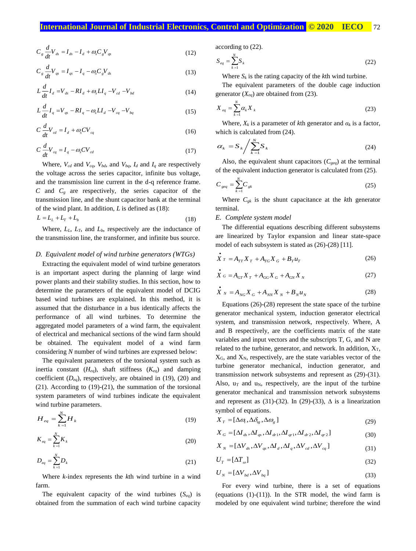$$
C_g \frac{d}{dt} V_{ds} = I_{ds} - I_d + \omega_s C_g V_{qs}
$$
\n(12)

$$
C_s \frac{d}{dt} V_{qs} = I_{qs} - I_q - \omega_s C_s V_{ds}
$$
\n(13)

$$
L\frac{d}{dt}I_d = V_{ds} - RI_d + \omega_s L I_q - V_{cd} - V_{bd}
$$
 (14)

$$
L\frac{d}{dt}I_q = V_{qs} - RI_q - \omega_s L I_d - V_{cq} - V_{bq} \tag{15}
$$

$$
C\frac{d}{dt}V_{cd} = I_d + \omega_s CV_{cq}
$$
 (16)

$$
C\frac{d}{dt}V_{cq} = I_q - \omega_s CV_{cd} \tag{17}
$$

Where,  $V_{cd}$  and  $V_{cq}$ ,  $V_{bd}$ , and  $V_{bq}$ ,  $I_d$  and  $I_q$  are respectively the voltage across the series capacitor, infinite bus voltage, and the transmission line current in the d-q reference frame. *C* and *C<sup>g</sup>* are respectively, the series capacitor of the transmission line, and the shunt capacitor bank at the terminal of the wind plant. In addition, *L* is defined as (18):

$$
L = LL + LT + Lb
$$
 (18)

Where, *LL*, *LT*, and *Lb*, respectively are the inductance of the transmission line, the transformer, and infinite bus source.

#### *D. Equivalent model of wind turbine generators (WTGs)*

Extracting the equivalent model of wind turbine generators is an important aspect during the planning of large wind power plants and their stability studies. In this section, how to determine the parameters of the equivalent model of DCIG based wind turbines are explained. In this method, it is assumed that the disturbance in a bus identically affects the performance of all wind turbines. To determine the aggregated model parameters of a wind farm, the equivalent of electrical and mechanical sections of the wind farm should be obtained. The equivalent model of a wind farm considering *N* number of wind turbines are expressed below:

The equivalent parameters of the torsional system such as inertia constant (*Heq*), shaft stiffness (*Keq*) and damping coefficient  $(D_{eq})$ , respectively, are obtained in (19), (20) and (21). According to (19)-(21), the summation of the torsional system parameters of wind turbines indicate the equivalent wind turbine parameters.

$$
H_{eq} = \sum_{k=1}^{N} H_k
$$
 (19)

$$
K_{eq} = \sum_{k=1}^{N} K_k
$$
\n(20)

$$
D_{eq} = \sum_{k=1}^{N} D_k \tag{21}
$$

Where *k*-index represents the *k*th wind turbine in a wind farm.

The equivalent capacity of the wind turbines (*Seq*) is obtained from the summation of each wind turbine capacity according to (22).

$$
S_{eq} = \sum_{k=1}^{N} S_k
$$
 (22)

Where  $S_k$  is the rating capacity of the *k*th wind turbine.

The equivalent parameters of the double cage induction generator (*Xeq*) are obtained from (23).

$$
X_{eq} = \sum_{k=1}^{N} \alpha_k X_k
$$
\n(23)

Where,  $X_k$  is a parameter of *k*th generator and  $\alpha_k$  is a factor, which is calculated from (24).

$$
\alpha_k = S_k / \sum_{k=1}^N S_k \tag{24}
$$

Also, the equivalent shunt capacitors  $(C_{geq})$  at the terminal of the equivalent induction generator is calculated from (25).

$$
C_{geq} = \sum_{k=1}^{N} C_{gk} \tag{25}
$$

Where  $C_{gk}$  is the shunt capacitance at the *k*th generator terminal.

#### *E. Complete system model*

The differential equations describing different subsystems are linearized by Taylor expansion and linear state-space model of each subsystem is stated as (26)-(28) [11].

$$
\dot{X}_T = A_{TT} X_T + A_{TG} X_G + B_T u_T
$$
\n(26)

$$
\dot{X}_G = A_{GT} X_T + A_{GG} X_G + A_{GN} X_N
$$
\n(27)

$$
\dot{X}_{N} = A_{NG} X_{G} + A_{NN} X_{N} + B_{N} u_{N}
$$
\n(28)

Equations (26)-(28) represent the state space of the turbine generator mechanical system, induction generator electrical system, and transmission network, respectively. Where, A and B respectively, are the coefficients matrix of the state variables and input vectors and the subscripts T, G, and N are related to the turbine, generator, and network. In addition,  $X_T$ ,  $X_G$ , and  $X_N$ , respectively, are the state variables vector of the turbine generator mechanical, induction generator, and transmission network subsystems and represent as (29)-(31). Also,  $u_T$  and  $u_N$ , respectively, are the input of the turbine generator mechanical and transmission network subsystems and represent as (31)-(32). In (29)-(33),  $\Delta$  is a linearization symbol of equations.

$$
X_T = [\Delta \omega_t, \Delta \delta_{lg}, \Delta \omega_g]
$$
 (29)

$$
X_{G} = [\Delta I_{ds}, \Delta I_{qs}, \Delta I_{dr1}, \Delta I_{qr1}, \Delta I_{dr2}, \Delta I_{qr2}]
$$
\n(30)

$$
X_N = [\Delta V_{ds}, \Delta V_{qs}, \Delta I_d, \Delta I_q, \Delta V_{cd}, \Delta V_{cq}]
$$
\n(31)

$$
U_T = [\Delta T_{\omega}] \tag{32}
$$

$$
U_N = [\Delta V_{bd}, \Delta V_{bq}] \tag{33}
$$

For every wind turbine, there is a set of equations (equations  $(1)-(11)$ ). In the STR model, the wind farm is modeled by one equivalent wind turbine; therefore the wind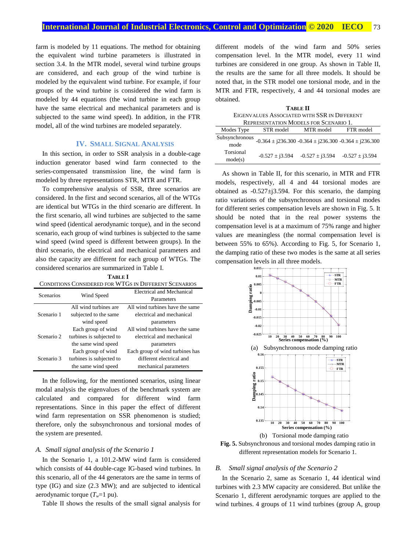farm is modeled by 11 equations. The method for obtaining the equivalent wind turbine parameters is illustrated in section 3.4. In the MTR model, several wind turbine groups are considered, and each group of the wind turbine is modeled by the equivalent wind turbine. For example, if four groups of the wind turbine is considered the wind farm is modeled by 44 equations (the wind turbine in each group have the same electrical and mechanical parameters and is subjected to the same wind speed). In addition, in the FTR model, all of the wind turbines are modeled separately.

# **IV. SMALL SIGNAL ANALYSIS**

In this section, in order to SSR analysis in a double-cage induction generator based wind farm connected to the series-compensated transmission line, the wind farm is modeled by three representations STR, MTR and FTR.

To comprehensive analysis of SSR, three scenarios are considered. In the first and second scenarios, all of the WTGs are identical but WTGs in the third scenario are different. In the first scenario, all wind turbines are subjected to the same wind speed (identical aerodynamic torque), and in the second scenario, each group of wind turbines is subjected to the same wind speed (wind speed is different between groups). In the third scenario, the electrical and mechanical parameters and also the capacity are different for each group of WTGs. The considered scenarios are summarized in Table I. **TABLE I**

| .                                                     |  |  |  |  |  |
|-------------------------------------------------------|--|--|--|--|--|
| CONDITIONS CONSIDERED FOR WTGS IN DIFFERENT SCENARIOS |  |  |  |  |  |
|                                                       |  |  |  |  |  |

| <b>Scenarios</b> | Wind Speed               | Electrical and Mechanical       |
|------------------|--------------------------|---------------------------------|
|                  |                          | Parameters                      |
|                  | All wind turbines are    | All wind turbines have the same |
| Scenario 1       | subjected to the same    | electrical and mechanical       |
|                  | wind speed               | parameters                      |
|                  | Each group of wind       | All wind turbines have the same |
| Scenario 2       | turbines is subjected to | electrical and mechanical       |
|                  | the same wind speed      | parameters                      |
|                  | Each group of wind       | Each group of wind turbines has |
| Scenario 3       | turbines is subjected to | different electrical and        |
|                  | the same wind speed      | mechanical parameters           |

In the following, for the mentioned scenarios, using linear modal analysis the eigenvalues of the benchmark system are calculated and compared for different wind farm representations. Since in this paper the effect of different wind farm representation on SSR phenomenon is studied; therefore, only the subsynchronous and torsional modes of the system are presented.

#### *A. Small signal analysis of the Scenario 1*

In the Scenario 1, a 101.2-MW wind farm is considered which consists of 44 double-cage IG-based wind turbines. In this scenario, all of the 44 generators are the same in terms of type (IG) and size (2.3 MW); and are subjected to identical aerodynamic torque (*Tw*=1 pu).

Table II shows the results of the small signal analysis for

different models of the wind farm and 50% series compensation level. In the MTR model, every 11 wind turbines are considered in one group. As shown in Table II, the results are the same for all three models. It should be noted that, in the STR model one torsional mode, and in the MTR and FTR, respectively, 4 and 44 torsional modes are obtained.

**TABLE II** EIGENVALUES ASSOCIATED WITH SSR IN DIFFERENT REPRESENTATION MODELS FOR SCENARIO 1. Modes Type STR model MTR model FTR model

| Subsynchronous<br>mode | $-0.364 \pm i236.300 -0.364 \pm i236.300 -0.364 \pm i236.300$ |                     |                     |
|------------------------|---------------------------------------------------------------|---------------------|---------------------|
| Torsional<br>mode(s)   | $-0.527 \pm i3.594$                                           | $-0.527 \pm 13.594$ | $-0.527 \pm i3.594$ |

As shown in Table II, for this scenario, in MTR and FTR models, respectively, all 4 and 44 torsional modes are obtained as  $-0.527 \pm i 3.594$ . For this scenario, the damping ratio variations of the subsynchronous and torsional modes for different series compensation levels are shown in Fig. 5. It should be noted that in the real power systems the compensation level is at a maximum of 75% range and higher values are meaningless (the normal compensation level is between 55% to 65%). According to Fig. 5, for Scenario 1, the damping ratio of these two modes is the same at all series compensation levels in all three models.



**Fig. 5.** Subsynchronous and torsional modes damping ratio in different representation models for Scenario 1.

#### *B. Small signal analysis of the Scenario 2*

In the Scenario 2, same as Scenario 1, 44 identical wind turbines with 2.3 MW capacity are considered. But unlike the Scenario 1, different aerodynamic torques are applied to the wind turbines. 4 groups of 11 wind turbines (group A, group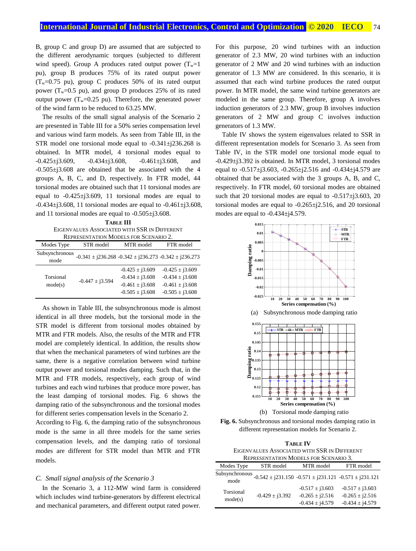B, group C and group D) are assumed that are subjected to the different aerodynamic torques (subjected to different wind speed). Group A produces rated output power  $(T_w=1)$ pu), group B produces 75% of its rated output power  $(T_w=0.75 \text{ pu})$ , group C produces 50% of its rated output power ( $T_w=0.5$  pu), and group D produces 25% of its rated output power  $(T_w=0.25 \text{ pu})$ . Therefore, the generated power of the wind farm to be reduced to 63.25 MW.

The results of the small signal analysis of the Scenario 2 are presented in Table III for a 50% series compensation level and various wind farm models. As seen from Table III, in the STR model one torsional mode equal to -0.341±j236.268 is obtained. In MTR model, 4 torsional modes equal to  $-0.425\pm i3.609$ ,  $-0.434\pm i3.608$ ,  $-0.461\pm i3.608$ , and -0.505±j3.608 are obtained that be associated with the 4 groups A, B, C, and D, respectively. In FTR model, 44 torsional modes are obtained such that 11 torsional modes are equal to  $-0.425 \pm j3.609$ , 11 torsional modes are equal to  $-0.434 \pm j3.608$ , 11 torsional modes are equal to  $-0.461 \pm j3.608$ , and 11 torsional modes are equal to -0.505±j3.608.

**TABLE III** EIGENVALUES ASSOCIATED WITH SSR IN DIFFERENT REPRESENTATION MODELS FOR SCENARIO 2.

|                        | INEI NEJERTATIOR INTODELJ FON DUERANIO Z. |                                                                                          |                                                                                          |
|------------------------|-------------------------------------------|------------------------------------------------------------------------------------------|------------------------------------------------------------------------------------------|
| Modes Type             | STR model                                 | MTR model                                                                                | FTR model                                                                                |
| Subsynchronous<br>mode |                                           | $-0.341 \pm i236.268 -0.342 \pm i236.273 -0.342 \pm i236.273$                            |                                                                                          |
| Torsional<br>mode(s)   | $-0.447 \pm i3.594$                       | $-0.425 \pm i3.609$<br>$-0.434 \pm i3.608$<br>$-0.461 \pm i3.608$<br>$-0.505 \pm i3.608$ | $-0.425 \pm 13.609$<br>$-0.434 \pm i3.608$<br>$-0.461 \pm i3.608$<br>$-0.505 \pm i3.608$ |

As shown in Table III, the subsynchronous mode is almost identical in all three models, but the torsional mode in the STR model is different from torsional modes obtained by MTR and FTR models. Also, the results of the MTR and FTR model are completely identical. In addition, the results show that when the mechanical parameters of wind turbines are the same, there is a negative correlation between wind turbine output power and torsional modes damping. Such that, in the MTR and FTR models, respectively, each group of wind turbines and each wind turbines that produce more power, has the least damping of torsional modes. Fig. 6 shows the damping ratio of the subsynchronous and the torsional modes for different series compensation levels in the Scenario 2.

According to Fig. 6, the damping ratio of the subsynchronous mode is the same in all three models for the same series compensation levels, and the damping ratio of torsional modes are different for STR model than MTR and FTR models.

#### *C. Small signal analysis of the Scenario 3*

In the Scenario 3, a 112-MW wind farm is considered which includes wind turbine-generators by different electrical and mechanical parameters, and different output rated power. For this purpose, 20 wind turbines with an induction generator of 2.3 MW, 20 wind turbines with an induction generator of 2 MW and 20 wind turbines with an induction generator of 1.3 MW are considered. In this scenario, it is assumed that each wind turbine produces the rated output power. In MTR model, the same wind turbine generators are modeled in the same group. Therefore, group A involves induction generators of 2.3 MW, group B involves induction generators of 2 MW and group C involves induction generators of 1.3 MW.

Table IV shows the system eigenvalues related to SSR in different representation models for Scenario 3. As seen from Table IV, in the STR model one torsional mode equal to -0.429±j3.392 is obtained. In MTR model, 3 torsional modes equal to -0.517±j3.603, -0.265±j2.516 and -0.434±j4.579 are obtained that be associated with the 3 groups A, B, and C, respectively. In FTR model, 60 torsional modes are obtained such that 20 torsional modes are equal to  $-0.517\pm j3.603$ , 20 torsional modes are equal to -0.265±j2.516, and 20 torsional modes are equal to -0.434±j4.579.



**Fig. 6.** Subsynchronous and torsional modes damping ratio in different representation models for Scenario 2.

| <b>TABLE IV</b>                              |
|----------------------------------------------|
| EIGENVALUES ASSOCIATED WITH SSR IN DIFFERENT |
| <b>REPRESENTATION MODELS FOR SCENARIO 3.</b> |
|                                              |

| Modes Type             | STR model           | MTR model                                                         | FTR model                                                         |
|------------------------|---------------------|-------------------------------------------------------------------|-------------------------------------------------------------------|
| Subsynchronous<br>mode |                     | $-0.542 \pm i231.150 -0.571 \pm i231.121 -0.571 \pm i231.121$     |                                                                   |
| Torsional<br>mode(s)   | $-0.429 \pm i3.392$ | $-0.517 \pm i3.603$<br>$-0.265 \pm i2.516$<br>$-0.434 \pm i4.579$ | $-0.517 \pm i3.603$<br>$-0.265 \pm j2.516$<br>$-0.434 \pm i4.579$ |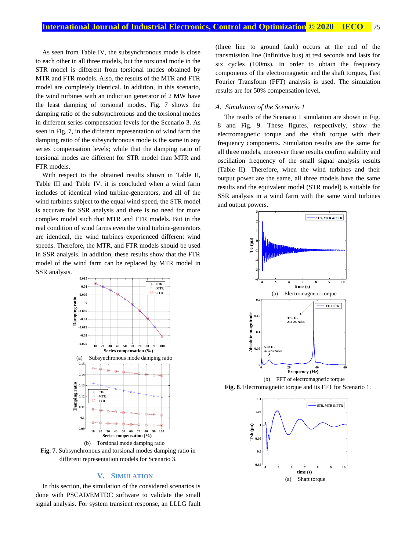As seen from Table IV, the subsynchronous mode is close to each other in all three models, but the torsional mode in the STR model is different from torsional modes obtained by MTR and FTR models. Also, the results of the MTR and FTR model are completely identical. In addition, in this scenario, the wind turbines with an induction generator of 2 MW have the least damping of torsional modes. Fig. 7 shows the damping ratio of the subsynchronous and the torsional modes in different series compensation levels for the Scenario 3. As seen in Fig. 7, in the different representation of wind farm the damping ratio of the subsynchronous mode is the same in any series compensation levels; while that the damping ratio of torsional modes are different for STR model than MTR and FTR models.

With respect to the obtained results shown in Table II, Table III and Table IV, it is concluded when a wind farm includes of identical wind turbine-generators, and all of the wind turbines subject to the equal wind speed, the STR model is accurate for SSR analysis and there is no need for more complex model such that MTR and FTR models. But in the real condition of wind farms even the wind turbine-generators are identical, the wind turbines experienced different wind speeds. Therefore, the MTR, and FTR models should be used in SSR analysis. In addition, these results show that the FTR model of the wind farm can be replaced by MTR model in SSR analysis.





#### **V. SIMULATION**

In this section, the simulation of the considered scenarios is done with PSCAD/EMTDC software to validate the small signal analysis. For system transient response, an LLLG fault (three line to ground fault) occurs at the end of the transmission line (infinitive bus) at t=4 seconds and lasts for six cycles (100ms). In order to obtain the frequency components of the electromagnetic and the shaft torques, Fast Fourier Transform (FFT) analysis is used. The simulation results are for 50% compensation level.

#### *A. Simulation of the Scenario 1*

The results of the Scenario 1 simulation are shown in Fig. 8 and Fig. 9. These figures, respectively, show the electromagnetic torque and the shaft torque with their frequency components. Simulation results are the same for all three models, moreover these results confirm stability and oscillation frequency of the small signal analysis results (Table II). Therefore, when the wind turbines and their output power are the same, all three models have the same results and the equivalent model (STR model) is suitable for SSR analysis in a wind farm with the same wind turbines and output powers.



(b) FFT of electromagnetic torque **Fig. 8**. Electromagnetic torque and its FFT for Scenario 1.

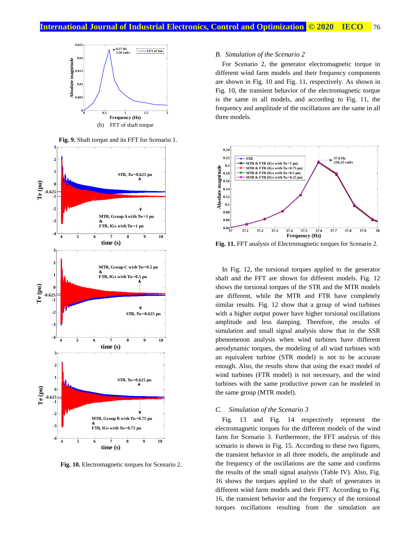



**Fig. 10.** Electromagnetic torques for Scenario 2.

#### *B. Simulation of the Scenario 2*

For Scenario 2, the generator electromagnetic torque in different wind farm models and their frequency components are shown in Fig. 10 and Fig. 11, respectively. As shown in Fig. 10, the transient behavior of the electromagnetic torque is the same in all models, and according to Fig. 11, the frequency and amplitude of the oscillations are the same in all three models.



**Fig. 11.** FFT analysis of Electromagnetic torques for Scenario 2.

In Fig. 12, the torsional torques applied to the generator shaft and the FFT are shown for different models. Fig. 12 shows the torsional torques of the STR and the MTR models are different, while the MTR and FTR have completely similar results. Fig. 12 show that a group of wind turbines with a higher output power have higher torsional oscillations amplitude and less damping. Therefore, the results of simulation and small signal analysis show that in the SSR phenomenon analysis when wind turbines have different aerodynamic torques, the modeling of all wind turbines with an equivalent turbine (STR model) is not to be accurate enough. Also, the results show that using the exact model of wind turbines (FTR model) is not necessary, and the wind turbines with the same productive power can be modeled in the same group (MTR model).

#### *C. Simulation of the Scenario 3*

Fig. 13 and Fig. 14 respectively represent the electromagnetic torques for the different models of the wind farm for Scenario 3. Furthermore, the FFT analysis of this scenario is shown in Fig. 15. According to these two figures, the transient behavior in all three models, the amplitude and the frequency of the oscillations are the same and confirms the results of the small signal analysis (Table IV). Also, Fig. 16 shows the torques applied to the shaft of generators in different wind farm models and their FFT. According to Fig. 16, the transient behavior and the frequency of the torsional torques oscillations resulting from the simulation are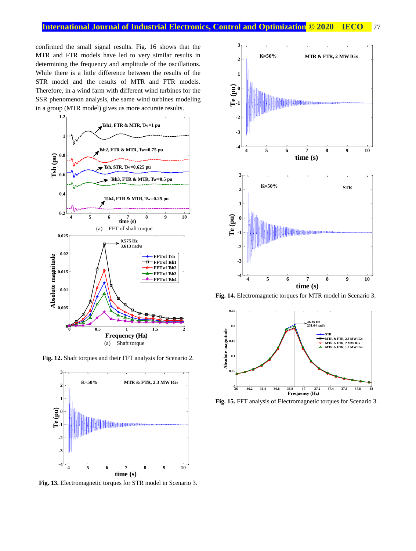confirmed the small signal results. Fig. 16 shows that the MTR and FTR models have led to very similar results in determining the frequency and amplitude of the oscillations. While there is a little difference between the results of the STR model and the results of MTR and FTR models. Therefore, in a wind farm with different wind turbines for the SSR phenomenon analysis, the same wind turbines modeling in a group (MTR model) gives us more accurate results.



**Fig. 12.** Shaft torques and their FFT analysis for Scenario 2.



**Fig. 13.** Electromagnetic torques for STR model in Scenario 3.



**Fig. 14.** Electromagnetic torques for MTR model in Scenario 3.



**Fig. 15.** FFT analysis of Electromagnetic torques for Scenario 3.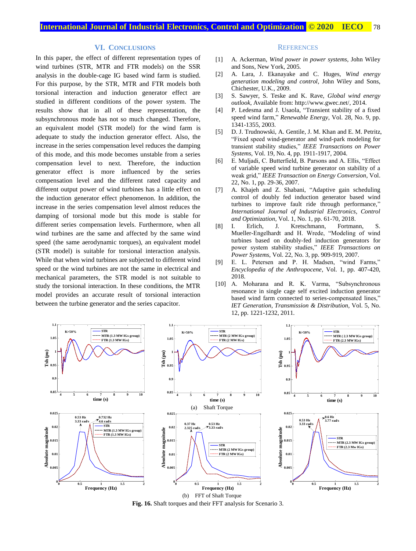#### **VI. CONCLUSIONS**

In this paper, the effect of different representation types of wind turbines (STR, MTR and FTR models) on the SSR analysis in the double-cage IG based wind farm is studied. For this purpose, by the STR, MTR and FTR models both torsional interaction and induction generator effect are studied in different conditions of the power system. The results show that in all of these representation, the subsynchronous mode has not so much changed. Therefore, an equivalent model (STR model) for the wind farm is adequate to study the induction generator effect. Also, the increase in the series compensation level reduces the damping of this mode, and this mode becomes unstable from a series compensation level to next. Therefore, the induction generator effect is more influenced by the series compensation level and the different rated capacity and different output power of wind turbines has a little effect on the induction generator effect phenomenon. In addition, the increase in the series compensation level almost reduces the damping of torsional mode but this mode is stable for different series compensation levels. Furthermore, when all wind turbines are the same and affected by the same wind speed (the same aerodynamic torques), an equivalent model (STR model) is suitable for torsional interaction analysis. While that when wind turbines are subjected to different wind speed or the wind turbines are not the same in electrical and mechanical parameters, the STR model is not suitable to study the torsional interaction. In these conditions, the MTR model provides an accurate result of torsional interaction between the turbine generator and the series capacitor.

#### **REFERENCES**

- [1] A. Ackerman, *Wind power in power systems*, John Wiley and Sons, New York, 2005.
- [2] A. Lara, J. Ekanayake and C. Huges, *Wind energy generation modeling and control*, John Wiley and Sons, Chichester, U.K., 2009.
- [3] S. Sawyer, S. Teske and K. Rave, *Global wind energy outlook*, Available from: [http://www.gwec.net/,](http://www.gwec.net/) 2014.
- [4] P. Ledesma and J. Usaola, "Transient stability of a fixed speed wind farm," *Renewable Energy*, Vol. 28, No. 9, pp. 1341-1355, 2003.
- [5] D. J. Trudnowski, A. Gentile, J. M. Khan and E. M. Petritz, "Fixed speed wind-generator and wind-park modeling for transient stability studies," *IEEE Transactions on Power Systems*, Vol. 19, No. 4, pp. 1911-1917, 2004.
- [6] E. Muljadi, C. Butterfield, B. Parsons and A. Ellis, "Effect of variable speed wind turbine generator on stability of a weak grid," *IEEE Transaction on Energy Conversion*, Vol. 22, No. 1, pp. 29-36, 2007.
- [7] A. Khajeh and Z. Shabani, "Adaptive gain scheduling control of doubly fed induction generator based wind turbines to improve fault ride through performance," *International Journal of Industrial Electronics, Control and Optimization*, Vol. 1, No. 1, pp. 61-70, 2018.<br>I. Erlich, J. Kretschmann, Fortma
- [8] I. Erlich, J. Kretschmann, Fortmann, S. Mueller-Engelhardt and H. Wrede, "Modeling of wind turbines based on doubly-fed induction generators for power system stability studies," *IEEE Transactions on Power Systems*, Vol. 22, No. 3, pp. 909-919, 2007.
- [9] E. L. Petersen and P. H. Madsen, "wind Farms," *[Encyclopedia of the Anthropocene](https://www.sciencedirect.com/science/referenceworks/9780128135761)*, Vol. 1, pp. 407-420, 2018.
- [10] A. Moharana and R. K. Varma, "Subsynchronous resonance in single cage self excited induction generator based wind farm connected to series-compensated lines," *IET Generation, Transmission & Distribution*, Vol. 5, No. 12, pp. 1221-1232, 2011.



**Fig. 16.** Shaft torques and their FFT analysis for Scenario 3.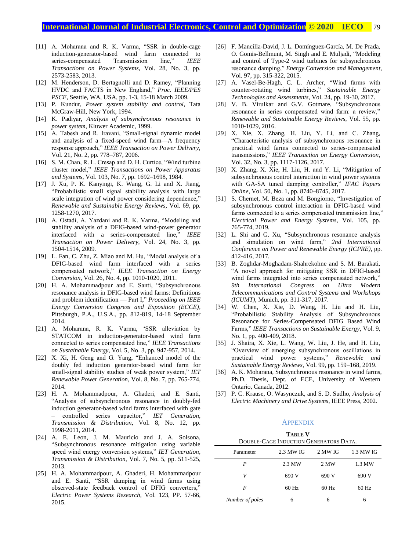# **International Journal of Industrial Electronics, Control and Optimization.© 2020 IECO…** 79

- [11] A. Moharana and R. K. Varma, "SSR in double-cage induction-generator-based wind farm connected to series-compensated Transmission line," *IEEE Transactions on Power Systems*, Vol. 28, No. 3, pp. 2573-2583, 2013.
- [12] M. Henderson, D. Bertagnolli and D. Ramey, "Planning HVDC and FACTS in New England," *Proc. IEEE/PES PSCE*, Seattle, WA, USA, pp. 1-3, 15-18 March 2009.
- [13] P. Kundur, *Power system stability and control*, Tata McGraw-Hill, New York, 1994.
- [14] K. Padiyar, *Analysis of subsynchronous resonance in power system*, Kluwer Academic, 1999.
- [15] A. Tabesh and R. Iravani, "Small-signal dynamic model and analysis of a fixed-speed wind farm—A frequency response approach," *IEEE Transaction on Power Delivery*, Vol. 21, No. 2, pp. 778–787, 2006.
- [16] S. M. Chan, R. L. Cresap and D. H. Curtice, "Wind turbine cluster model," *IEEE Transactions on Power Apparatus and Systems*, Vol. 103, No. 7, pp. 1692–1698, 1984.
- [17] J. Xu, P. K. Kanyingi, K. Wang, G. Li and X. Jiang, "Probabilistic small signal stability analysis with large scale integration of wind power considering dependence," *Renewable and Sustainable Energy Reviews*, Vol. 69, pp. 1258-1270, 2017.
- [18] A. Ostadi, A. Yazdani and R. K. Varma, "Modeling and stability analysis of a DFIG-based wind-power generator interfaced with a series-compensated line," *IEEE Transaction on Power Delivery*, Vol. 24, No. 3, pp. 1504-1514, 2009.
- [19] L. Fan, C. Zhu, Z. Miao and M. Hu, "Modal analysis of a DFIG-based wind farm interfaced with a series compensated network," *IEEE Transaction on Energy Conversion*, Vol. 26, No. 4, pp. 1010-1020, 2011.
- [20] H. A. Mohammadpour and E. Santi, "Subsynchronous resonance analysis in DFIG-based wind farms: Definitions and problem identification — Part I," *Proceeding on IEEE Energy Conversion Congress and Exposition (ECCE)*, Pittsburgh, P.A., U.S.A., pp. 812-819, 14-18 September 2014.
- [21] A. Moharana, R. K. Varma, 'SSR alleviation by STATCOM in induction-generator-based wind farm connected to series compensated line," *IEEE Transactions on Sustainable Energy*, Vol. 5, No. 3, pp. 947-957, 2014.
- [22] X. Xi, H. Geng and G. Yang, "Enhanced model of the doubly fed induction generator-based wind farm for small-signal stability studies of weak power system," *IET Renewable Power Generation*, Vol. 8, No. 7, pp. 765-774, 2014.
- [23] H. A. Mohammadpour, A. Ghaderi, and E. Santi, "Analysis of subsynchronous resonance in doubly-fed induction generator-based wind farms interfaced with gate – controlled series capacitor," *IET Generation, Transmission & Distribution*, Vol. 8, No. 12, pp. 1998-2011, 2014.
- [24] A. E. Leon, J. M. Mauricio and J. A. Solsona, "Subsynchronous resonance mitigation using variable speed wind energy conversion systems," *IET Generation, Transmission & Distribution*, Vol. 7, No. 5, pp. 511-525, 2013.
- [25] H. [A. Mohammadpour,](https://www.sciencedirect.com/science/article/pii/S0378779615000280#!) A. [Ghaderi,](https://www.sciencedirect.com/science/article/pii/S0378779615000280#!) H. [Mohammadpour](https://www.sciencedirect.com/science/article/pii/S0378779615000280#!) and E. [Santi,](https://www.sciencedirect.com/science/article/pii/S0378779615000280#!) "SSR damping in wind farms using observed-state feedback control of DFIG converters,' *Electric Power Systems Research*, Vol. 123, PP. 57-66, 2015.
- [26] F. [Mancilla-David,](https://www.sciencedirect.com/science/article/pii/S0196890415002873#!) J. L. [Domínguez-García,](https://www.sciencedirect.com/science/article/pii/S0196890415002873#!) M. [De Prada,](https://www.sciencedirect.com/science/article/pii/S0196890415002873#!) O. [Gomis-Bellmunt,](https://www.sciencedirect.com/science/article/pii/S0196890415002873#!) M. [Singh](https://www.sciencedirect.com/science/article/pii/S0196890415002873#!) and E. [Muljadi,](https://www.sciencedirect.com/science/article/pii/S0196890415002873#!) "Modeling and control of Type-2 wind turbines for subsynchronous resonance damping," *[Energy Conversion and Management](https://www.sciencedirect.com/science/journal/01968904)*, Vol. 97, pp. 315-322, 2015.
- [27] A. [Vasel-Be-Hagh,](https://www.sciencedirect.com/science/article/pii/S2213138816301072#!) C. L. [Archer,](https://www.sciencedirect.com/science/article/pii/S2213138816301072#!) "Wind farms with counter-rotating wind turbines," *[Sustainable Energy](https://www.sciencedirect.com/science/journal/22131388)  [Technologies and Assessments](https://www.sciencedirect.com/science/journal/22131388)*, Vol. 24, pp. 19-30, 2017.
- [28] V. B. [Virulkar](https://www.sciencedirect.com/science/article/pii/S1364032115012642#!) and G.V. [Gotmare,](https://www.sciencedirect.com/science/article/pii/S1364032115012642#!) "Subsynchronous resonance in series compensated wind farm: a review," *[Renewable and Sustainable Energy Reviews](https://www.sciencedirect.com/science/journal/13640321)*, Vol. 55, pp. 1010-1029, 2016.
- [29] X. Xie, X. Zhang, H. Liu, Y. Li, and C. Zhang, "Characteristic analysis of subsynchronous resonance in practical wind farms connected to series-compensated transmissions," *IEEE Transaction on Energy Conversion*, Vol. 32, No. 3, pp. 1117-1126, 2017.
- [30] X. Zhang, X. Xie, H. Liu, H. and Y. Li, "Mitigation of subsynchronous control interaction in wind power systems with GA-SA tuned damping controller," *IFAC Papers Online*, Vol. 50, No. 1, pp. 8740–8745, 2017.
- [31] S. Chernet, M. Beza and M. Bongiorno, "Investigation of subsynchronous control interaction in DFIG-based wind farms connected to a series compensated transmission line," *Electrical Power and Energy Systems*, Vol. 105, pp. 765-774, 2019.
- [32] L. Shi and G. Xu, "Subsynchronous resonance analysis and simulation on wind farm," *[2nd International](https://ieeexplore.ieee.org/xpl/mostRecentIssue.jsp?punumber=8383943)  [Conference on Power and Renewable Energy \(ICPRE\)](https://ieeexplore.ieee.org/xpl/mostRecentIssue.jsp?punumber=8383943)*, pp. 412-416, 2017.
- [33] B. Zoghdar-Moghadam-Shahrekohne and S. M. Barakati, "A novel approach for mitigating SSR in DFIG-based wind farms integrated into series compensated network," *9th International Congress on Ultra Modern Telecommunications and Control Systems and Workshops (ICUMT)*, Munich, pp. 311-317, 2017.
- [34] W. Chen, X. Xie, D. Wang, H. Liu and H. Liu, "Probabilistic Stability Analysis of Subsynchronous Resonance for Series-Compensated DFIG Based Wind Farms," *IEEE Transactions on Sustainable Energy*, Vol. 9, No. 1, pp. 400-409, 2018.
- [35] J. Shaira, X. Xie, L. Wang, W. Liu, J. He, and H. Liu, "Overview of emerging subsynchronous oscillations in practical wind power systems," *Renewable and Sustainable Energy Reviews*, Vol. 99, pp. 159–168, 2019.
- [36] A. K. Moharana, Subsynchronous resonance in wind farms, Ph.D. Thesis, Dept. of ECE, University of Western Ontario, Canada, 2012.
- [37] P. C. Krause, O. Wasynczuk, and S. D. Sudho, *Analysis of Electric Machinery and Drive Systems,* IEEE Press, 2002.

#### **APPENDIX**

| <b>TABLE V</b><br>DOUBLE-CAGE INDUCTION GENERATORS DATA. |           |         |           |  |  |
|----------------------------------------------------------|-----------|---------|-----------|--|--|
| Parameter                                                | 2.3 MW IG | 2 MW IG | 1.3 MW IG |  |  |
| P                                                        | 2.3 MW    | 2 MW    | 1.3 MW    |  |  |
| V                                                        | 690 V     | 690 V   | 690 V     |  |  |
| F                                                        | $60$ Hz   | $60$ Hz | $60$ Hz   |  |  |
| Number of poles                                          | 6         | 6       | 6         |  |  |